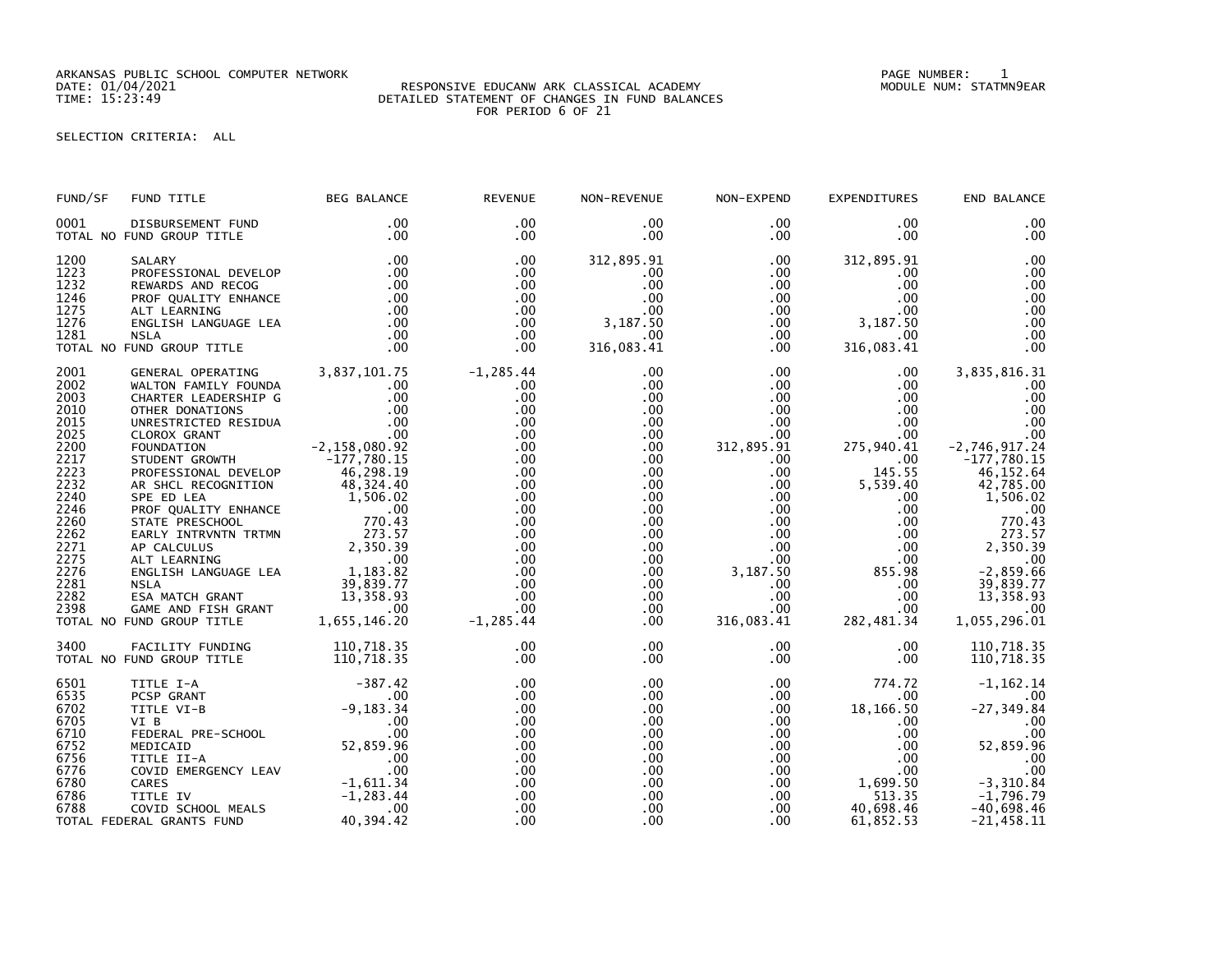ARKANSAS PUBLIC SCHOOL COMPUTER NETWORK PAGE NUMBER: 1

## DATE: 01/04/2021 RESPONSIVE EDUCANW ARK CLASSICAL ACADEMY MODULE NUM: STATMN9EAR TIME: 15:23:49 DETAILED STATEMENT OF CHANGES IN FUND BALANCES FOR PERIOD 6 OF 21

SELECTION CRITERIA: ALL

| END BALANCE                                                                                                                                                                                                                              | EXPENDITURES                                                                                                                                                                                                            | NON-EXPEND                                                                                                                                                                                           | NON-REVENUE                                                                                                                                                                                                              | <b>REVENUE</b>                                                                                                                                                        | <b>BEG BALANCE</b>                         | FUND TITLE                                                                                                                                                                                                                                                                                                                                                                                                                                                                                                                                                                                                              | FUND/SF                                                                                                                                                      |
|------------------------------------------------------------------------------------------------------------------------------------------------------------------------------------------------------------------------------------------|-------------------------------------------------------------------------------------------------------------------------------------------------------------------------------------------------------------------------|------------------------------------------------------------------------------------------------------------------------------------------------------------------------------------------------------|--------------------------------------------------------------------------------------------------------------------------------------------------------------------------------------------------------------------------|-----------------------------------------------------------------------------------------------------------------------------------------------------------------------|--------------------------------------------|-------------------------------------------------------------------------------------------------------------------------------------------------------------------------------------------------------------------------------------------------------------------------------------------------------------------------------------------------------------------------------------------------------------------------------------------------------------------------------------------------------------------------------------------------------------------------------------------------------------------------|--------------------------------------------------------------------------------------------------------------------------------------------------------------|
| .00<br>.00                                                                                                                                                                                                                               | $.00 \cdot$<br>$.00 \,$                                                                                                                                                                                                 | $.00 \,$<br>.00                                                                                                                                                                                      | .00<br>$.00 \,$                                                                                                                                                                                                          | $.00 \times$<br>$.00 \,$                                                                                                                                              | .00<br>.00                                 | DISBURSEMENT FUND<br>TOTAL NO FUND GROUP TITLE                                                                                                                                                                                                                                                                                                                                                                                                                                                                                                                                                                          | 0001                                                                                                                                                         |
| .00<br>.00<br>.00<br>.00<br>.00<br>.00<br>.00<br>.00                                                                                                                                                                                     | 312,895.91<br>$.00 \,$<br>$.00 \,$<br>$.00 \,$<br>$.00 \,$<br>$.00 \t3, 187.50$<br>.00<br>316,083.41                                                                                                                    | $.00 \,$<br>$.00 \,$<br>$.00\,$<br>$.00\,$<br>.00<br>$.00\,$<br>$.00 \,$                                                                                                                             | 312,895.91<br>$.00 \,$<br>.00<br>.00<br>.00<br>$3,187.\overline{50}$<br>.00<br>316,083.41                                                                                                                                | .00<br>$.00 \,$<br>.00<br>.00<br>$.00 \,$<br>$.00 \,$<br>$.00 \,$<br>.00                                                                                              | .00<br>$\frac{1}{20}$<br>.00<br>.00<br>.00 | SALARY<br>PROFESSIONAL DEVELOP<br>REWARDS AND RECOG<br><b>NSLA</b><br>TOTAL NO FUND GROUP TITLE                                                                                                                                                                                                                                                                                                                                                                                                                                                                                                                         | 1200<br>1223<br>1232<br>1246<br>1275<br>1276<br>1281                                                                                                         |
| 3,835,816.31<br>.00<br>.00<br>.00<br>.00<br>.00<br>$-2,746,917.24$<br>$-177,780.15$<br>46,152.64<br>42,785.00<br>1,506.02<br>.00<br>770.43<br>273.57<br>2,350.39<br>.00<br>$-2,859.66$<br>39,839.77<br>13, 358.93<br>.00<br>1,055,296.01 | $.00 \,$<br>$.00 \,$<br>$.00 \,$<br>$.00 \cdot$<br>$.00 \,$<br>$.00\,$<br>275,940.41<br>$.00 \,$<br>145.55<br>5,539.40<br>$.00 \,$<br>$.00 \,$<br>.00<br>.00<br>.00<br>.00<br>855.98<br>.00<br>.00<br>.00<br>282,481.34 | $.00 \,$<br>$.00\,$<br>$.00\,$<br>$.00\,$<br>$.00\,$<br>.00<br>312,895.91<br>$.00 \,$<br>.00<br>.00<br>$.00\,$<br>.00<br>.00<br>.00<br>.00<br>.00<br>3,187.50<br>.00<br>.00<br>$.00\,$<br>316,083.41 | .00<br>.00<br>.00<br>$.00 \,$<br>$.00 \,$<br>$.00 \,$<br>$.00 \,$<br>.00<br>.00<br>.00<br>$.00 \,$<br>$.00 \,$<br>.00<br>.00 <sub>1</sub><br>$.00 \,$<br>$.00 \,$<br>$.00 \,$<br>.00<br>$.00 \,$<br>$.00 \,$<br>$.00 \,$ | $-1,285.44$<br>$.00 \,$<br>.00<br>.00<br>.00<br>.00<br>.00<br>.00<br>.00<br>.00<br>.00<br>.00<br>.00<br>.00<br>.00<br>.00<br>.00<br>.00<br>.00<br>.00<br>$-1, 285.44$ | $-177,780.15$<br>46,298.19<br>48,324.40    | GENERAL OPERATING 3,837,101.75<br>WALTON FAMILY FOUNDA<br>CHARTER LEADERSHIP G .00<br>OTHER DONATIONS .00<br>UNRESTRICTED RESIDUA .00<br>CLOROX GRANT .00<br>FOUNDATION .00<br>FOUNDATION .00<br>THIPENT GPOWTH .00<br>THIPENT CPOWTH .00<br>2,158,080.92<br>STUDENT GROWTH<br>PROFESSIONAL DEVELOP<br>AR SHCL RECOGNITION<br>AR SHCL RECOGNITION<br>SPE ED LEA<br>PROF QUALITY ENHANCE<br>STATE PRESCHOOL<br>STATE PRESCHOOL<br>STATE PRESCHOOL<br>273.57<br>AP CALCULUS<br>ALT LEARNING<br>ALT LEARNING<br>ALT LEARNING<br>ALT LEARNING<br>SPECISH LANGUAGE LEA<br>1,183.82<br>NSLA<br>S<br>TOTAL NO FUND GROUP TITLE | 2001<br>2002<br>2003<br>2010<br>2015<br>2025<br>2200<br>2217<br>2223<br>2232<br>2240<br>2246<br>2260<br>2262<br>2271<br>2275<br>2276<br>2281<br>2282<br>2398 |
| 110,718.35<br>110,718.35                                                                                                                                                                                                                 | $.00 \,$<br>$.00 \,$                                                                                                                                                                                                    | $.00\,$<br>.00 <sub>1</sub>                                                                                                                                                                          | .00<br>$.00 \,$                                                                                                                                                                                                          | .00<br>.00                                                                                                                                                            | 110,718.35                                 | FACILITY FUNDING 110,718.35<br>TOTAL NO FUND GROUP TITLE                                                                                                                                                                                                                                                                                                                                                                                                                                                                                                                                                                | 3400                                                                                                                                                         |
| $-1, 162.14$<br>.00<br>$-27, 349.84$<br>.00<br>.00<br>52,859.96<br>.00<br>.00<br>$-3,310.84$<br>$-1,796.79$<br>$-40,698.46$<br>$-21,458.11$                                                                                              | 774.72<br>$.00 \,$<br>18,166.50<br>$.00 \,$<br>$.00 \,$<br>$.00 \,$<br>$.00 \,$<br>$1,699.50$<br>$-1,699.50$<br>40,698.46<br>61,852.53                                                                                  | $.00\,$<br>$.00\,$<br>.00<br>$.00 \cdot$<br>.00<br>.00<br>.00<br>$.00\,$<br>$.00\,$<br>$.00\,$<br>$.00 \,$<br>$.00 \,$                                                                               | $.00 \,$<br>.00<br>.00<br>.00<br>$.00 \,$<br>.00<br>.00<br>$.00 \,$<br>$.00 \,$<br>.00<br>.00<br>.00                                                                                                                     | .00<br>.00<br>.00<br>.00.<br>.00<br>.00<br>.00<br>.00<br>.00<br>.00<br>.00<br>.00                                                                                     | $-387.42$<br>40,394.42                     | TITLE I-A<br>- PICLIP - ANT<br>PESP GRANT<br>TITLE VI-B<br>PEDERAL PRE-SCHOOL<br>MEDICAID<br>MEDICAID<br>MEDICAID<br>TITLE II-A<br>COVID EMERGENCY LEAV<br>CARES<br>CARES<br>CARES<br>TITLE IV<br>COVID SCHOOL MEALS<br>FRAL GRANTS FUND<br>PEAL GRANTS FUND<br>PEAL GRANTS<br>COVID EMERSENS --<br>CARES<br>TITLE IV<br>COVID SCHOOL MEALS<br>COVID SCHOOL MEALS<br>TOTAL FEDERAL GRANTS FUND                                                                                                                                                                                                                          | 6501<br>6535<br>6702<br>6705<br>6710<br>6752<br>6756<br>6776<br>6780<br>6786<br>6788                                                                         |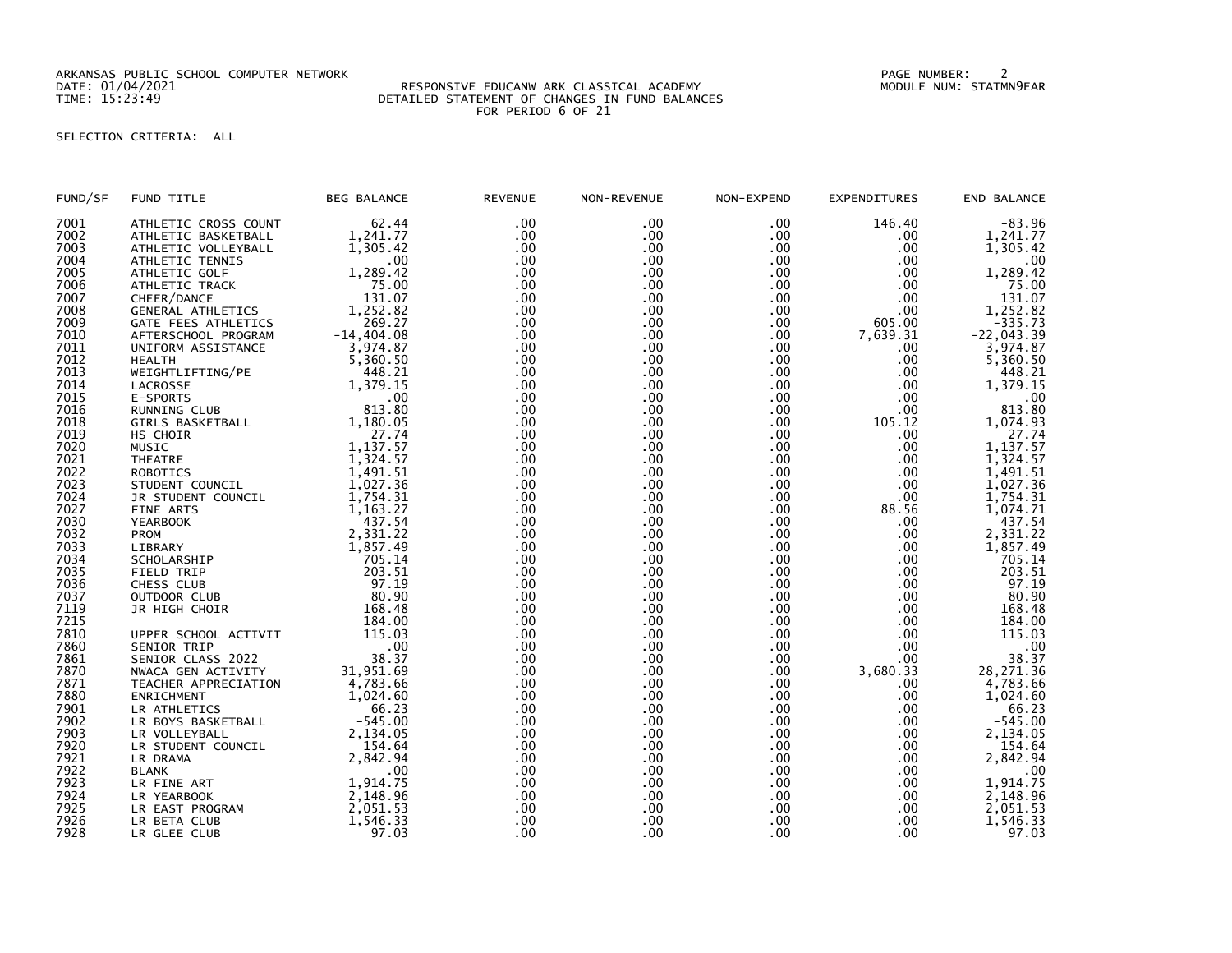ARKANSAS PUBLIC SCHOOL COMPUTER NETWORK PAGE NUMBER: 2

## DATE: 01/04/2021 RESPONSIVE EDUCANW ARK CLASSICAL ACADEMY MODULE NUM: STATMN9EAR TIME: 15:23:49 DETAILED STATEMENT OF CHANGES IN FUND BALANCES FOR PERIOD 6 OF 21

## SELECTION CRITERIA: ALL

| FUND/SF | FUND TITLE           | <b>BEG BALANCE</b> | <b>REVENUE</b> | NON-REVENUE | NON-EXPEND | <b>EXPENDITURES</b> | END BALANCE             |
|---------|----------------------|--------------------|----------------|-------------|------------|---------------------|-------------------------|
| 7001    | ATHLETIC CROSS COUNT | 62.44              | .00            | .00         | .00        | 146.40              | $-83.96$                |
| 7002    | ATHLETIC BASKETBALL  | 1,241.77           | .00            | .00         | .00        | .00                 | 1,241.77                |
| 7003    | ATHLETIC VOLLEYBALL  | 1,305.42           | .00            | .00.        | .00        | .00                 | 1,305.42                |
| 7004    | ATHLETIC TENNIS      | $.00 \,$           | .00            | .00         | .00        | .00.                | .00                     |
| 7005    | ATHLETIC GOLF        | 1,289.42           | .00            | .00         | .00        | .00                 | 1,289.42                |
| 7006    | ATHLETIC TRACK       | 75.00              | .00            | .00         | .00        | .00                 | 75.00                   |
| 7007    | CHEER/DANCE          | 131.07             | .00            | .00         | .00        | .00                 | 131.07                  |
| 7008    | GENERAL ATHLETICS    | 1,252.82           | .00            | .00         | .00        | .00                 | 1,252.82                |
| 7009    | GATE FEES ATHLETICS  | 269.27             | .00            | .00         | .00        | 605.00              | $-335.73$               |
| 7010    | AFTERSCHOOL PROGRAM  | $-14, 404.08$      | .00            | .00         | .00        | 7,639.31            | $-22,043.39$            |
| 7011    | UNIFORM ASSISTANCE   | 3,974.87           | .00            | .00         | .00        | .00                 | 3,974.87                |
| 7012    | <b>HEALTH</b>        | 5,360.50           | .00            | .00.        | .00        | .00                 | 5,360.50                |
| 7013    | WEIGHTLIFTING/PE     | 448.21             | .00            | .00         | .00        | .00                 | 448.21                  |
| 7014    | LACROSSE             | 1,379.15           | .00            | .00         | .00        | .00                 | 1,379.15                |
| 7015    | E-SPORTS             | .00                | .00            | .00         | .00        | .00                 | .00                     |
| 7016    | RUNNING CLUB         | 813.80             | .00            | .00         | .00        | .00                 | 813.80                  |
| 7018    | GIRLS BASKETBALL     | 1,180.05           | .00            | .00         | .00        | 105.12              | 1,074.93                |
| 7019    | HS CHOIR             | 27.74              | .00            | .00         | .00        | .00                 | 27.74                   |
| 7020    | <b>MUSIC</b>         | 1,137.57           | .00            | .00         | .00        | .00                 | 1,137.57                |
| 7021    | <b>THEATRE</b>       | 1,324.57           | .00            | .00         | .00        | .00                 | $\overline{1}$ , 324.57 |
| 7022    | <b>ROBOTICS</b>      | 1,491.51           | .00            | .00         | .00        | .00                 | 1,491.51                |
| 7023    | STUDENT COUNCIL      | 1,027.36           | .00            | .00         | .00        | .00                 | 1,027.36                |
| 7024    | JR STUDENT COUNCIL   | 1,754.31           | .00            | .00         | .00        | .00                 | 1,754.31                |
| 7027    | FINE ARTS            | 1,163.27           | .00            | .00         | .00        | 88.56               | 1,074.71                |
| 7030    | <b>YEARBOOK</b>      | 437.54             | .00            | .00         | .00        | .00.                | 437.54                  |
| 7032    | <b>PROM</b>          | 2,331.22           | .00            | .00         | .00        | .00.                | 2,331.22                |
| 7033    | LIBRARY              | 1,857.49           | .00            | .00         | .00        | .00                 | 1,857.49                |
| 7034    | SCHOLARSHIP          | 705.14             | .00            | .00         | . 00       | .00                 | 705.14                  |
| 7035    | FIELD TRIP           | 203.51             | .00            | .00         | .00        | .00                 | 203.51                  |
| 7036    | CHESS CLUB           | 97.19              | .00            | .00         | .00        | .00                 | 97.19                   |
| 7037    | OUTDOOR CLUB         | 80.90              | .00            | .00         | .00        | .00                 | 80.90                   |
| 7119    | JR HIGH CHOIR        | 168.48             | .00            | .00         | .00        | .00                 | 168.48                  |
| 7215    |                      | 184.00             | .00            | .00         | .00        | .00                 | 184.00                  |
| 7810    | UPPER SCHOOL ACTIVIT | 115.03             | .00            | .00         | .00        | .00                 | 115.03                  |
| 7860    | SENIOR TRIP          | .00                | .00            | .00         | .00        | .00                 | .00                     |
| 7861    | SENIOR CLASS 2022    | 38.37              | .00            | .00         | .00        | .00                 | 38.37                   |
| 7870    | NWACA GEN ACTIVITY   | 31,951.69          | .00            | .00         | .00        | 3,680.33            | 28, 271.36              |
| 7871    | TEACHER APPRECIATION | 4,783.66           | .00            | .00         | .00        | .00.                | 4,783.66                |
| 7880    | ENRICHMENT           | 1,024.60           | .00            | .00         | .00        | .00                 | 1,024.60                |
| 7901    | LR ATHLETICS         | 66.23              | .00            | .00         | .00        | .00                 | 66.23                   |
| 7902    | LR BOYS BASKETBALL   | $-545.00$          | .00            | .00         | .00        | .00                 | $-545.00$               |
| 7903    | LR VOLLEYBALL        | 2,134.05           | .00            | .00         | .00        | .00                 | 2,134.05                |
| 7920    | LR STUDENT COUNCIL   | 154.64             | .00            | .00         | .00        | .00                 | 154.64                  |
| 7921    | LR DRAMA             | 2,842.94           | .00            | .00         | .00        | .00                 | 2,842.94                |
| 7922    | <b>BLANK</b>         | .00                | .00            | .00         | .00        | .00                 | .00                     |
| 7923    | LR FINE ART          | 1,914.75           | .00            | .00         | .00        | .00                 | 1,914.75                |
| 7924    | LR YEARBOOK          | 2,148.96           | .00            | .00         | .00        | .00                 | 2,148.96                |
| 7925    | LR EAST PROGRAM      | 2,051.53           | .00            | .00         | .00        | .00                 | 2,051.53                |
| 7926    | LR BETA CLUB         | 1,546.33           | .00            | .00         | .00        | .00                 | 1,546.33                |
| 7928    | LR GLEE CLUB         | 97.03              | .00            | .00         | .00        | .00                 | 97.03                   |